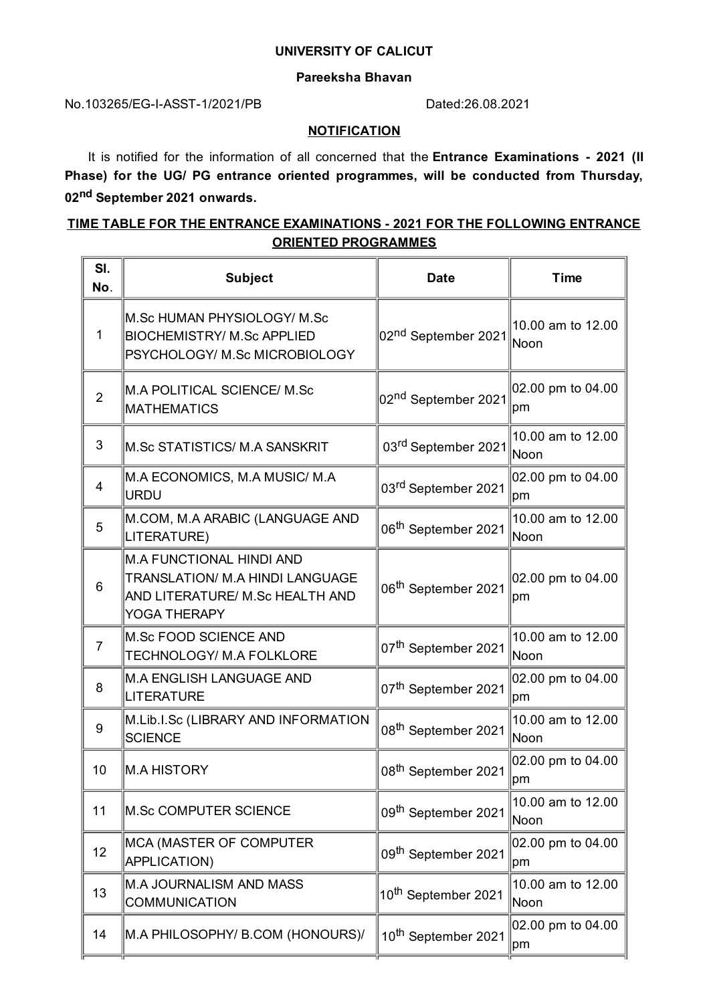#### **UNIVERSITY OF CALICUT**

#### **Pareeksha Bhavan**

### No.103265/EG-I-ASST-1/2021/PB Dated:26.08.2021

#### **NOTIFICATION**

It is notified for the information of all concerned that the **Entrance Examinations - 2021 (II Phase) for the UG/ PG entrance oriented programmes, will be conducted from Thursday, 02 nd September 2021 onwards.**

# **TIME TABLE FOR THE ENTRANCE EXAMINATIONS - 2021 FOR THE FOLLOWING ENTRANCE ORIENTED PROGRAMMES**

| SI.<br>No.     | <b>Subject</b>                                                                                                               | <b>Date</b>                     | <b>Time</b>                      |
|----------------|------------------------------------------------------------------------------------------------------------------------------|---------------------------------|----------------------------------|
| 1              | M.Sc HUMAN PHYSIOLOGY/ M.Sc<br><b>BIOCHEMISTRY/ M.Sc APPLIED</b><br>PSYCHOLOGY/ M.Sc MICROBIOLOGY                            | 02 <sup>nd</sup> September 2021 | 10.00 am to 12.00<br>Noon        |
| $\overline{2}$ | M.A POLITICAL SCIENCE/ M.Sc<br><b>MATHEMATICS</b>                                                                            | 02 <sup>nd</sup> September 2021 | 02.00 pm to 04.00<br>pm          |
| 3              | M.Sc STATISTICS/ M.A SANSKRIT                                                                                                | 03 <sup>rd</sup> September 2021 | 10.00 am to 12.00<br>Noon        |
| 4              | M.A ECONOMICS, M.A MUSIC/ M.A<br>URDU                                                                                        | 03 <sup>rd</sup> September 2021 | 02.00 pm to 04.00<br> pm         |
| 5              | M.COM, M.A ARABIC (LANGUAGE AND<br>LITERATURE)                                                                               | 06 <sup>th</sup> September 2021 | 10.00 am to 12.00<br><b>Noon</b> |
| 6              | <b>M.A FUNCTIONAL HINDI AND</b><br>TRANSLATION/ M.A HINDI LANGUAGE<br>AND LITERATURE/ M.Sc HEALTH AND<br><b>YOGA THERAPY</b> | 06 <sup>th</sup> September 2021 | 02.00 pm to 04.00<br> pm         |
| $\overline{7}$ | M.Sc FOOD SCIENCE AND<br><b>TECHNOLOGY/ M.A FOLKLORE</b>                                                                     | 07 <sup>th</sup> September 2021 | 10.00 am to 12.00<br>Noon        |
| 8              | <b>M.A ENGLISH LANGUAGE AND</b><br>LITERATURE                                                                                | 07 <sup>th</sup> September 2021 | 02.00 pm to 04.00<br> pm         |
| 9              | M.Lib.I.Sc (LIBRARY AND INFORMATION<br><b>SCIENCE</b>                                                                        | 08 <sup>th</sup> September 2021 | 10.00 am to 12.00<br>Noon        |
| 10             | M.A HISTORY                                                                                                                  | 08 <sup>th</sup> September 2021 | 02.00 pm to 04.00<br> pm         |
| 11             | <b>M.Sc COMPUTER SCIENCE</b>                                                                                                 | 09 <sup>th</sup> September 2021 | 10.00 am to 12.00<br>Noon        |
| 12             | MCA (MASTER OF COMPUTER<br>APPLICATION)                                                                                      | 09 <sup>th</sup> September 2021 | 02.00 pm to 04.00<br> pm         |
| 13             | M.A JOURNALISM AND MASS<br><b>COMMUNICATION</b>                                                                              | 10 <sup>th</sup> September 2021 | 10.00 am to 12.00<br>Noon        |
| 14             | M.A PHILOSOPHY/ B.COM (HONOURS)/                                                                                             | 10 <sup>th</sup> September 2021 | 02.00 pm to 04.00<br>pm          |